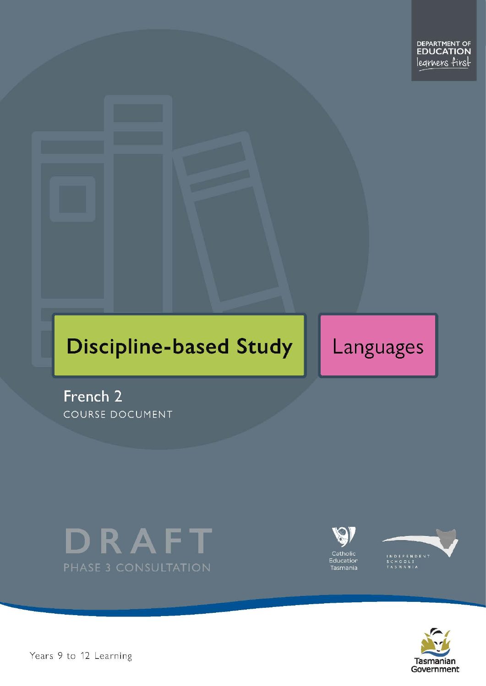# **Discipline-based Study**

Languages

French<sub>2</sub> COURSE DOCUMENT







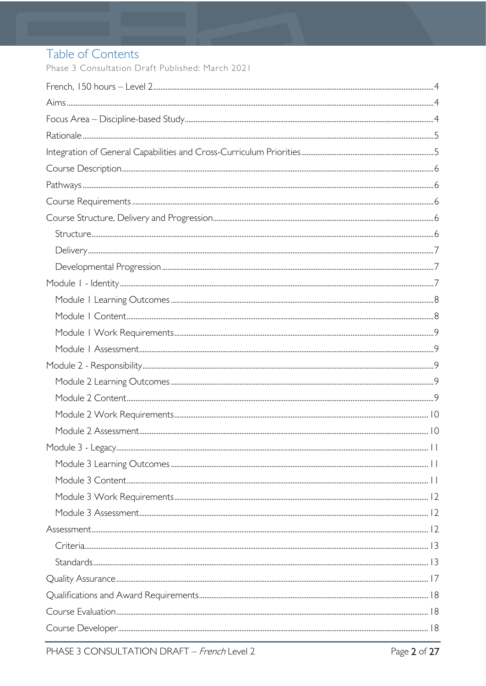# Table of Contents

Phase 3 Consultation Draft Published: March 2021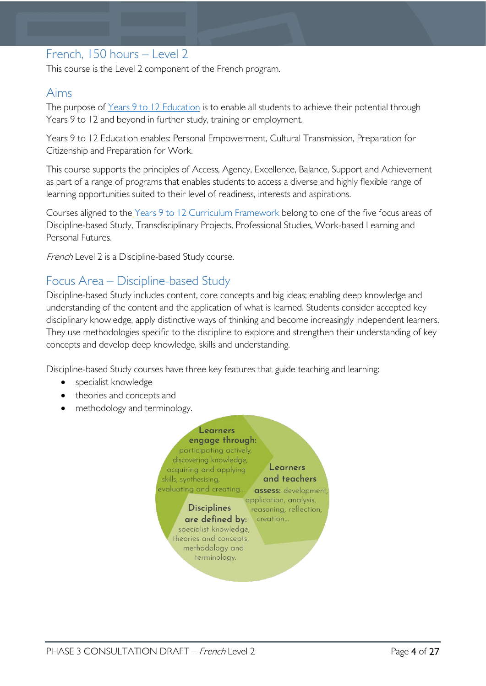# <span id="page-3-0"></span>French, 150 hours – Level 2

This course is the Level 2 component of the French program.

### <span id="page-3-1"></span>Aims

The purpose of Years 9 to 12 [Education](https://publicdocumentcentre.education.tas.gov.au/library/Shared%20Documents/Years-9-to-12-Education-Framework.pdf) is to enable all students to achieve their potential through Years 9 to 12 and beyond in further study, training or employment.

Years 9 to 12 Education enables: Personal Empowerment, Cultural Transmission, Preparation for Citizenship and Preparation for Work.

This course supports the principles of Access, Agency, Excellence, Balance, Support and Achievement as part of a range of programs that enables students to access a diverse and highly flexible range of learning opportunities suited to their level of readiness, interests and aspirations.

Courses aligned to the Years 9 to 12 Curriculum [Framework](https://publicdocumentcentre.education.tas.gov.au/library/Shared%20Documents/Education%209-12%20Frameworks%20A3%20WEB%20POSTER.pdf) belong to one of the five focus areas of Discipline-based Study, Transdisciplinary Projects, Professional Studies, Work-based Learning and Personal Futures.

French Level 2 is a Discipline-based Study course.

# <span id="page-3-2"></span>Focus Area – Discipline-based Study

Discipline-based Study includes content, core concepts and big ideas; enabling deep knowledge and understanding of the content and the application of what is learned. Students consider accepted key disciplinary knowledge, apply distinctive ways of thinking and become increasingly independent learners. They use methodologies specific to the discipline to explore and strengthen their understanding of key concepts and develop deep knowledge, skills and understanding.

Discipline-based Study courses have three key features that guide teaching and learning:

- specialist knowledge
- theories and concepts and
- methodology and terminology.

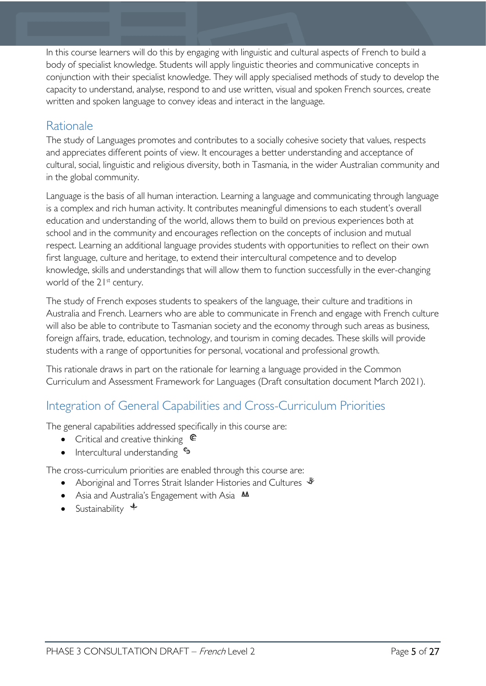In this course learners will do this by engaging with linguistic and cultural aspects of French to build a body of specialist knowledge. Students will apply linguistic theories and communicative concepts in conjunction with their specialist knowledge. They will apply specialised methods of study to develop the capacity to understand, analyse, respond to and use written, visual and spoken French sources, create written and spoken language to convey ideas and interact in the language.

# <span id="page-4-0"></span>**Rationale**

The study of Languages promotes and contributes to a socially cohesive society that values, respects and appreciates different points of view. It encourages a better understanding and acceptance of cultural, social, linguistic and religious diversity, both in Tasmania, in the wider Australian community and in the global community.

Language is the basis of all human interaction. Learning a language and communicating through language is a complex and rich human activity. It contributes meaningful dimensions to each student's overall education and understanding of the world, allows them to build on previous experiences both at school and in the community and encourages reflection on the concepts of inclusion and mutual respect. Learning an additional language provides students with opportunities to reflect on their own first language, culture and heritage, to extend their intercultural competence and to develop knowledge, skills and understandings that will allow them to function successfully in the ever-changing world of the 21<sup>st</sup> century.

The study of French exposes students to speakers of the language, their culture and traditions in Australia and French. Learners who are able to communicate in French and engage with French culture will also be able to contribute to Tasmanian society and the economy through such areas as business, foreign affairs, trade, education, technology, and tourism in coming decades. These skills will provide students with a range of opportunities for personal, vocational and professional growth.

This rationale draws in part on the rationale for learning a language provided in the Common Curriculum and Assessment Framework for Languages (Draft consultation document March 2021).

# <span id="page-4-1"></span>Integration of General Capabilities and Cross-Curriculum Priorities

The general capabilities addressed specifically in this course are:

- Critical and creative thinking  $\mathbb{C}$
- Intercultural understanding  $\frac{c_3}{b_1}$

The cross-curriculum priorities are enabled through this course are:

- Aboriginal and Torres Strait Islander Histories and Cultures  $\mathcal$
- Asia and Australia's Engagement with Asia **M**
- Sustainability  $\triangleleft$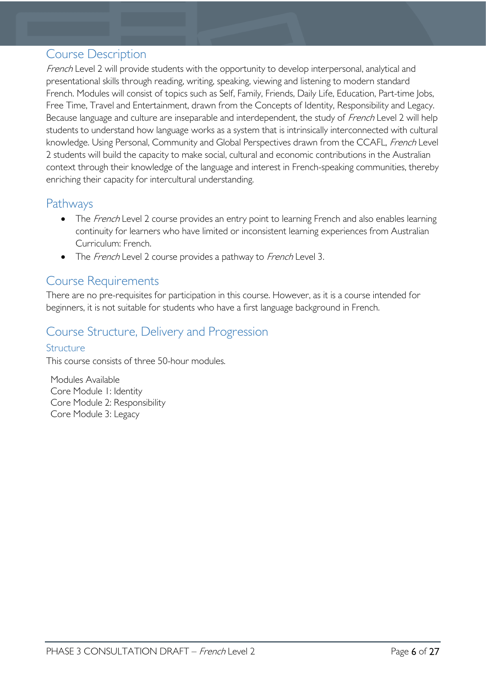### <span id="page-5-0"></span>Course Description

French Level 2 will provide students with the opportunity to develop interpersonal, analytical and presentational skills through reading, writing, speaking, viewing and listening to modern standard French. Modules will consist of topics such as Self, Family, Friends, Daily Life, Education, Part-time Jobs, Free Time, Travel and Entertainment, drawn from the Concepts of Identity, Responsibility and Legacy. Because language and culture are inseparable and interdependent, the study of French Level 2 will help students to understand how language works as a system that is intrinsically interconnected with cultural knowledge. Using Personal, Community and Global Perspectives drawn from the CCAFL, French Level 2 students will build the capacity to make social, cultural and economic contributions in the Australian context through their knowledge of the language and interest in French-speaking communities, thereby enriching their capacity for intercultural understanding.

### <span id="page-5-1"></span>**Pathways**

- The French Level 2 course provides an entry point to learning French and also enables learning continuity for learners who have limited or inconsistent learning experiences from Australian Curriculum: French.
- The French Level 2 course provides a pathway to French Level 3.

### <span id="page-5-2"></span>Course Requirements

There are no pre-requisites for participation in this course. However, as it is a course intended for beginners, it is not suitable for students who have a first language background in French.

# <span id="page-5-3"></span>Course Structure, Delivery and Progression

### <span id="page-5-4"></span>**Structure**

This course consists of three 50-hour modules.

Modules Available Core Module 1: Identity Core Module 2: Responsibility Core Module 3: Legacy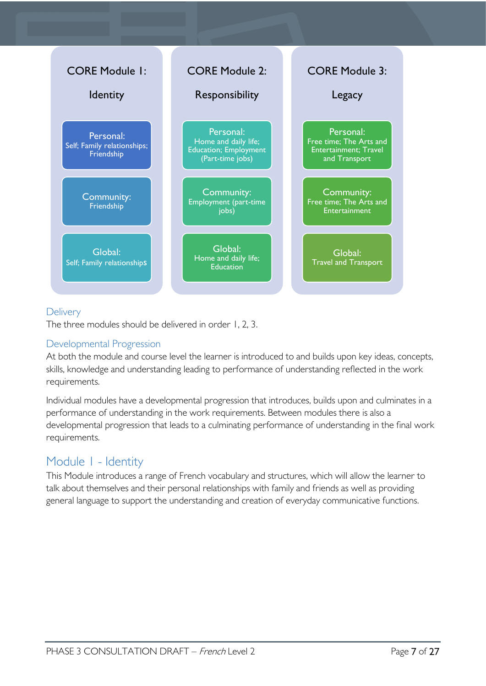

### <span id="page-6-0"></span>**Delivery**

The three modules should be delivered in order 1, 2, 3.

### <span id="page-6-1"></span>Developmental Progression

At both the module and course level the learner is introduced to and builds upon key ideas, concepts, skills, knowledge and understanding leading to performance of understanding reflected in the work requirements.

Individual modules have a developmental progression that introduces, builds upon and culminates in a performance of understanding in the work requirements. Between modules there is also a developmental progression that leads to a culminating performance of understanding in the final work requirements.

# <span id="page-6-2"></span>Module 1 - Identity

This Module introduces a range of French vocabulary and structures, which will allow the learner to talk about themselves and their personal relationships with family and friends as well as providing general language to support the understanding and creation of everyday communicative functions.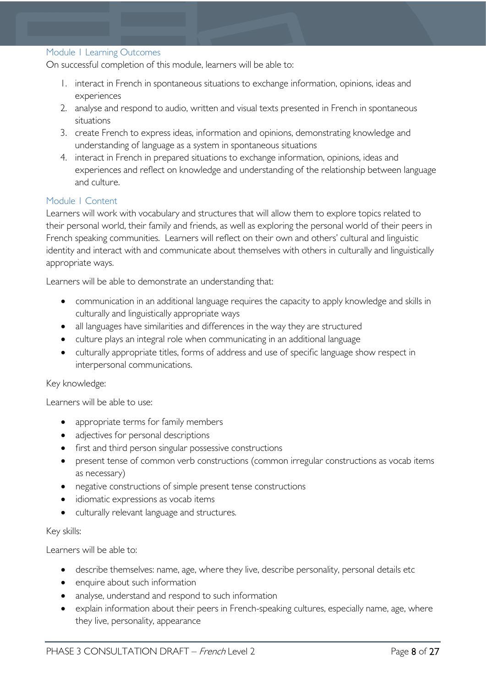#### <span id="page-7-0"></span>Module 1 Learning Outcomes

On successful completion of this module, learners will be able to:

- 1. interact in French in spontaneous situations to exchange information, opinions, ideas and experiences
- 2. analyse and respond to audio, written and visual texts presented in French in spontaneous situations
- 3. create French to express ideas, information and opinions, demonstrating knowledge and understanding of language as a system in spontaneous situations
- 4. interact in French in prepared situations to exchange information, opinions, ideas and experiences and reflect on knowledge and understanding of the relationship between language and culture.

### <span id="page-7-1"></span>Module 1 Content

Learners will work with vocabulary and structures that will allow them to explore topics related to their personal world, their family and friends, as well as exploring the personal world of their peers in French speaking communities. Learners will reflect on their own and others' cultural and linguistic identity and interact with and communicate about themselves with others in culturally and linguistically appropriate ways.

Learners will be able to demonstrate an understanding that:

- communication in an additional language requires the capacity to apply knowledge and skills in culturally and linguistically appropriate ways
- all languages have similarities and differences in the way they are structured
- culture plays an integral role when communicating in an additional language
- culturally appropriate titles, forms of address and use of specific language show respect in interpersonal communications.

### Key knowledge:

Learners will be able to use:

- appropriate terms for family members
- adjectives for personal descriptions
- first and third person singular possessive constructions
- present tense of common verb constructions (common irregular constructions as vocab items as necessary)
- negative constructions of simple present tense constructions
- idiomatic expressions as vocab items
- culturally relevant language and structures.

#### Key skills:

Learners will be able to:

- describe themselves: name, age, where they live, describe personality, personal details etc
- enquire about such information
- analyse, understand and respond to such information
- explain information about their peers in French-speaking cultures, especially name, age, where they live, personality, appearance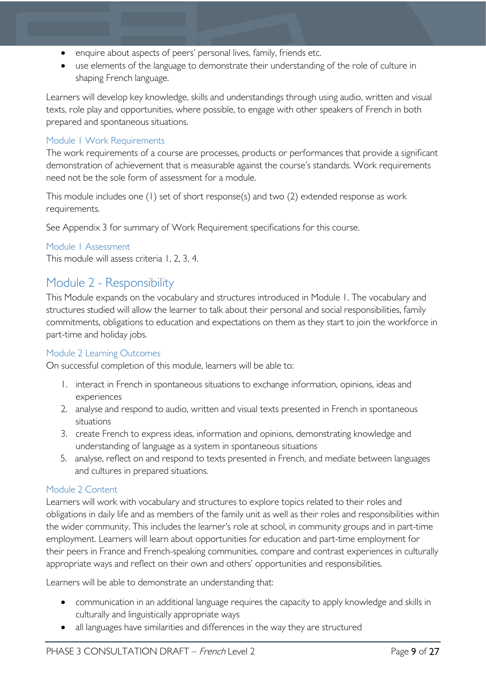- enquire about aspects of peers' personal lives, family, friends etc.
- use elements of the language to demonstrate their understanding of the role of culture in shaping French language.

Learners will develop key knowledge, skills and understandings through using audio, written and visual texts, role play and opportunities, where possible, to engage with other speakers of French in both prepared and spontaneous situations.

### <span id="page-8-0"></span>Module 1 Work Requirements

The work requirements of a course are processes, products or performances that provide a significant demonstration of achievement that is measurable against the course's standards. Work requirements need not be the sole form of assessment for a module.

This module includes one (1) set of short response(s) and two (2) extended response as work requirements.

See Appendix 3 for summary of Work Requirement specifications for this course.

### <span id="page-8-1"></span>Module 1 Assessment

This module will assess criteria 1, 2, 3, 4.

### <span id="page-8-2"></span>Module 2 - Responsibility

This Module expands on the vocabulary and structures introduced in Module 1. The vocabulary and structures studied will allow the learner to talk about their personal and social responsibilities, family commitments, obligations to education and expectations on them as they start to join the workforce in part-time and holiday jobs.

### <span id="page-8-3"></span>Module 2 Learning Outcomes

On successful completion of this module, learners will be able to:

- 1. interact in French in spontaneous situations to exchange information, opinions, ideas and experiences
- 2. analyse and respond to audio, written and visual texts presented in French in spontaneous situations
- 3. create French to express ideas, information and opinions, demonstrating knowledge and understanding of language as a system in spontaneous situations
- 5. analyse, reflect on and respond to texts presented in French, and mediate between languages and cultures in prepared situations.

### <span id="page-8-4"></span>Module 2 Content

Learners will work with vocabulary and structures to explore topics related to their roles and obligations in daily life and as members of the family unit as well as their roles and responsibilities within the wider community. This includes the learner's role at school, in community groups and in part-time employment. Learners will learn about opportunities for education and part-time employment for their peers in France and French-speaking communities, compare and contrast experiences in culturally appropriate ways and reflect on their own and others' opportunities and responsibilities.

Learners will be able to demonstrate an understanding that:

- communication in an additional language requires the capacity to apply knowledge and skills in culturally and linguistically appropriate ways
- all languages have similarities and differences in the way they are structured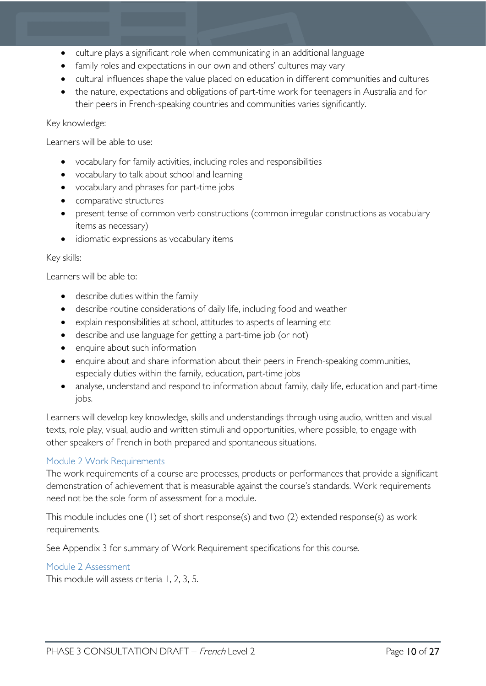- culture plays a significant role when communicating in an additional language
- family roles and expectations in our own and others' cultures may vary
- cultural influences shape the value placed on education in different communities and cultures
- the nature, expectations and obligations of part-time work for teenagers in Australia and for their peers in French-speaking countries and communities varies significantly.

### Key knowledge:

Learners will be able to use:

- vocabulary for family activities, including roles and responsibilities
- vocabulary to talk about school and learning
- vocabulary and phrases for part-time jobs
- comparative structures
- present tense of common verb constructions (common irregular constructions as vocabulary items as necessary)
- idiomatic expressions as vocabulary items

#### Key skills:

Learners will be able to:

- describe duties within the family
- describe routine considerations of daily life, including food and weather
- explain responsibilities at school, attitudes to aspects of learning etc
- describe and use language for getting a part-time job (or not)
- enquire about such information
- enquire about and share information about their peers in French-speaking communities, especially duties within the family, education, part-time jobs
- analyse, understand and respond to information about family, daily life, education and part-time jobs.

Learners will develop key knowledge, skills and understandings through using audio, written and visual texts, role play, visual, audio and written stimuli and opportunities, where possible, to engage with other speakers of French in both prepared and spontaneous situations.

### <span id="page-9-0"></span>Module 2 Work Requirements

The work requirements of a course are processes, products or performances that provide a significant demonstration of achievement that is measurable against the course's standards. Work requirements need not be the sole form of assessment for a module.

This module includes one (1) set of short response(s) and two (2) extended response(s) as work requirements.

See Appendix 3 for summary of Work Requirement specifications for this course.

### <span id="page-9-1"></span>Module 2 Assessment

This module will assess criteria 1, 2, 3, 5.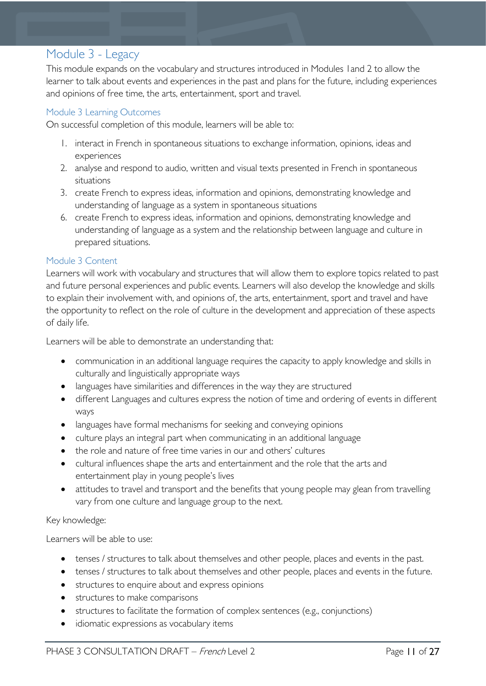# <span id="page-10-0"></span>Module 3 - Legacy

This module expands on the vocabulary and structures introduced in Modules 1and 2 to allow the learner to talk about events and experiences in the past and plans for the future, including experiences and opinions of free time, the arts, entertainment, sport and travel.

### <span id="page-10-1"></span>Module 3 Learning Outcomes

On successful completion of this module, learners will be able to:

- 1. interact in French in spontaneous situations to exchange information, opinions, ideas and experiences
- 2. analyse and respond to audio, written and visual texts presented in French in spontaneous situations
- 3. create French to express ideas, information and opinions, demonstrating knowledge and understanding of language as a system in spontaneous situations
- 6. create French to express ideas, information and opinions, demonstrating knowledge and understanding of language as a system and the relationship between language and culture in prepared situations.

### <span id="page-10-2"></span>Module 3 Content

Learners will work with vocabulary and structures that will allow them to explore topics related to past and future personal experiences and public events. Learners will also develop the knowledge and skills to explain their involvement with, and opinions of, the arts, entertainment, sport and travel and have the opportunity to reflect on the role of culture in the development and appreciation of these aspects of daily life.

Learners will be able to demonstrate an understanding that:

- communication in an additional language requires the capacity to apply knowledge and skills in culturally and linguistically appropriate ways
- languages have similarities and differences in the way they are structured
- different Languages and cultures express the notion of time and ordering of events in different ways
- languages have formal mechanisms for seeking and conveying opinions
- culture plays an integral part when communicating in an additional language
- the role and nature of free time varies in our and others' cultures
- cultural influences shape the arts and entertainment and the role that the arts and entertainment play in young people's lives
- attitudes to travel and transport and the benefits that young people may glean from travelling vary from one culture and language group to the next.

### Key knowledge:

Learners will be able to use:

- tenses / structures to talk about themselves and other people, places and events in the past.
- tenses / structures to talk about themselves and other people, places and events in the future.
- structures to enquire about and express opinions
- structures to make comparisons
- structures to facilitate the formation of complex sentences (e.g., conjunctions)
- idiomatic expressions as vocabulary items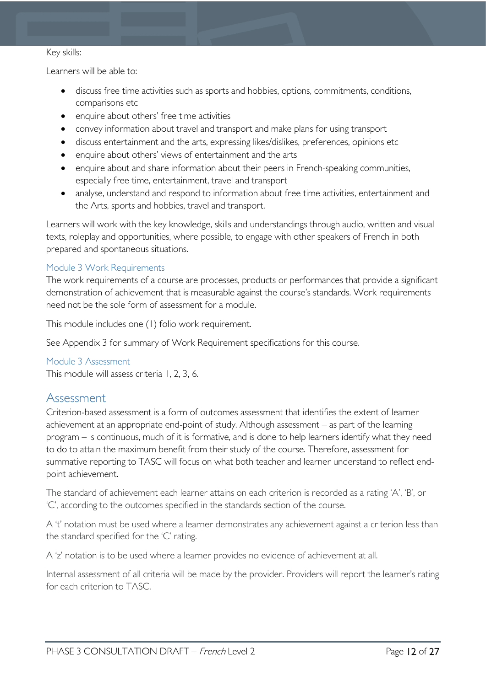#### Key skills:

Learners will be able to:

- discuss free time activities such as sports and hobbies, options, commitments, conditions, comparisons etc
- enquire about others' free time activities
- convey information about travel and transport and make plans for using transport
- discuss entertainment and the arts, expressing likes/dislikes, preferences, opinions etc
- enquire about others' views of entertainment and the arts
- enquire about and share information about their peers in French-speaking communities, especially free time, entertainment, travel and transport
- analyse, understand and respond to information about free time activities, entertainment and the Arts, sports and hobbies, travel and transport.

Learners will work with the key knowledge, skills and understandings through audio, written and visual texts, roleplay and opportunities, where possible, to engage with other speakers of French in both prepared and spontaneous situations.

### <span id="page-11-0"></span>Module 3 Work Requirements

The work requirements of a course are processes, products or performances that provide a significant demonstration of achievement that is measurable against the course's standards. Work requirements need not be the sole form of assessment for a module.

This module includes one (1) folio work requirement.

See Appendix 3 for summary of Work Requirement specifications for this course.

#### <span id="page-11-1"></span>Module 3 Assessment

This module will assess criteria 1, 2, 3, 6.

### <span id="page-11-2"></span>Assessment

Criterion-based assessment is a form of outcomes assessment that identifies the extent of learner achievement at an appropriate end-point of study. Although assessment – as part of the learning program – is continuous, much of it is formative, and is done to help learners identify what they need to do to attain the maximum benefit from their study of the course. Therefore, assessment for summative reporting to TASC will focus on what both teacher and learner understand to reflect endpoint achievement.

The standard of achievement each learner attains on each criterion is recorded as a rating 'A', 'B', or 'C', according to the outcomes specified in the standards section of the course.

A 't' notation must be used where a learner demonstrates any achievement against a criterion less than the standard specified for the 'C' rating.

A 'z' notation is to be used where a learner provides no evidence of achievement at all.

Internal assessment of all criteria will be made by the provider. Providers will report the learner's rating for each criterion to TASC.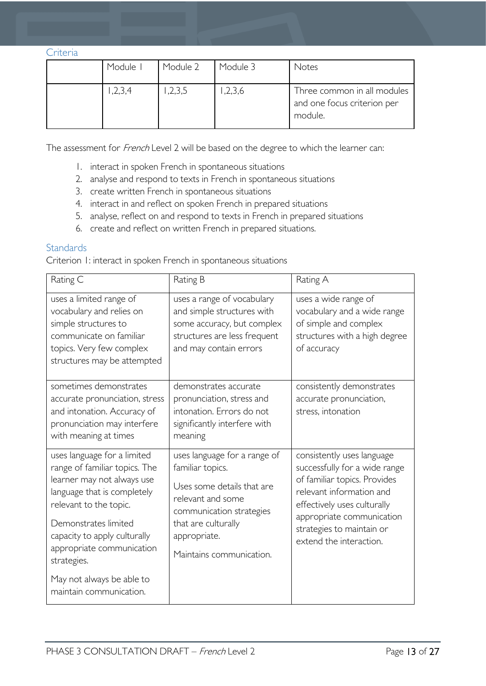#### <span id="page-12-0"></span>**Criteria**

| Module I | Module 2 | Module 3 | Notes                                                                 |
|----------|----------|----------|-----------------------------------------------------------------------|
| ,2,3,4   | ,2,3,5   | ,2,3,6   | Three common in all modules<br>and one focus criterion per<br>module. |

The assessment for French Level 2 will be based on the degree to which the learner can:

- 1. interact in spoken French in spontaneous situations
- 2. analyse and respond to texts in French in spontaneous situations
- 3. create written French in spontaneous situations
- 4. interact in and reflect on spoken French in prepared situations
- 5. analyse, reflect on and respond to texts in French in prepared situations
- 6. create and reflect on written French in prepared situations.

### <span id="page-12-1"></span>**Standards**

Criterion 1: interact in spoken French in spontaneous situations

| Rating C                                                                                                                                                                                                                                                | Rating B                                                                                                                                                                                           | Rating A                                                                                                                                                                                                                                    |
|---------------------------------------------------------------------------------------------------------------------------------------------------------------------------------------------------------------------------------------------------------|----------------------------------------------------------------------------------------------------------------------------------------------------------------------------------------------------|---------------------------------------------------------------------------------------------------------------------------------------------------------------------------------------------------------------------------------------------|
| uses a limited range of<br>vocabulary and relies on<br>simple structures to<br>communicate on familiar<br>topics. Very few complex<br>structures may be attempted                                                                                       | uses a range of vocabulary<br>and simple structures with<br>some accuracy, but complex<br>structures are less frequent<br>and may contain errors                                                   | uses a wide range of<br>vocabulary and a wide range<br>of simple and complex<br>structures with a high degree<br>of accuracy                                                                                                                |
| sometimes demonstrates<br>accurate pronunciation, stress<br>and intonation. Accuracy of<br>pronunciation may interfere<br>with meaning at times                                                                                                         | demonstrates accurate<br>pronunciation, stress and<br>intonation. Errors do not<br>significantly interfere with<br>meaning                                                                         | consistently demonstrates<br>accurate pronunciation,<br>stress, intonation                                                                                                                                                                  |
| uses language for a limited<br>range of familiar topics. The<br>learner may not always use<br>language that is completely<br>relevant to the topic.<br>Demonstrates limited<br>capacity to apply culturally<br>appropriate communication<br>strategies. | uses language for a range of<br>familiar topics.<br>Uses some details that are<br>relevant and some<br>communication strategies<br>that are culturally<br>appropriate.<br>Maintains communication. | consistently uses language<br>successfully for a wide range<br>of familiar topics. Provides<br>relevant information and<br>effectively uses culturally<br>appropriate communication<br>strategies to maintain or<br>extend the interaction. |
| May not always be able to<br>maintain communication.                                                                                                                                                                                                    |                                                                                                                                                                                                    |                                                                                                                                                                                                                                             |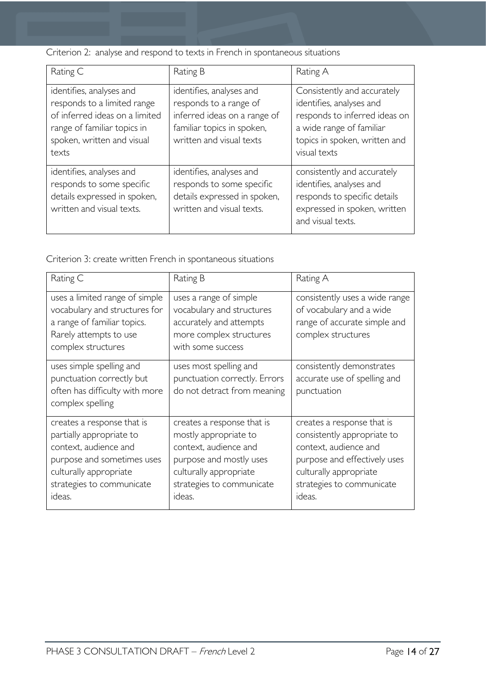Criterion 2: analyse and respond to texts in French in spontaneous situations

| Rating C                                                                                                                                                        | Rating B                                                                                                                                     | Rating A                                                                                                                                                              |
|-----------------------------------------------------------------------------------------------------------------------------------------------------------------|----------------------------------------------------------------------------------------------------------------------------------------------|-----------------------------------------------------------------------------------------------------------------------------------------------------------------------|
| identifies, analyses and<br>responds to a limited range<br>of inferred ideas on a limited<br>range of familiar topics in<br>spoken, written and visual<br>texts | identifies, analyses and<br>responds to a range of<br>inferred ideas on a range of<br>familiar topics in spoken,<br>written and visual texts | Consistently and accurately<br>identifies, analyses and<br>responds to inferred ideas on<br>a wide range of familiar<br>topics in spoken, written and<br>visual texts |
| identifies, analyses and<br>responds to some specific<br>details expressed in spoken,<br>written and visual texts.                                              | identifies, analyses and<br>responds to some specific<br>details expressed in spoken,<br>written and visual texts.                           | consistently and accurately<br>identifies, analyses and<br>responds to specific details<br>expressed in spoken, written<br>and visual texts.                          |

Criterion 3: create written French in spontaneous situations

| Rating C                                                                                                                                                                       | Rating B                                                                                                                                                                 | Rating A                                                                                                                                                                            |
|--------------------------------------------------------------------------------------------------------------------------------------------------------------------------------|--------------------------------------------------------------------------------------------------------------------------------------------------------------------------|-------------------------------------------------------------------------------------------------------------------------------------------------------------------------------------|
| uses a limited range of simple<br>vocabulary and structures for<br>a range of familiar topics.<br>Rarely attempts to use<br>complex structures                                 | uses a range of simple<br>vocabulary and structures<br>accurately and attempts<br>more complex structures<br>with some success                                           | consistently uses a wide range<br>of vocabulary and a wide<br>range of accurate simple and<br>complex structures                                                                    |
| uses simple spelling and<br>punctuation correctly but<br>often has difficulty with more<br>complex spelling                                                                    | uses most spelling and<br>punctuation correctly. Errors<br>do not detract from meaning                                                                                   | consistently demonstrates<br>accurate use of spelling and<br>punctuation                                                                                                            |
| creates a response that is<br>partially appropriate to<br>context, audience and<br>purpose and sometimes uses<br>culturally appropriate<br>strategies to communicate<br>ideas. | creates a response that is<br>mostly appropriate to<br>context, audience and<br>purpose and mostly uses<br>culturally appropriate<br>strategies to communicate<br>ideas. | creates a response that is<br>consistently appropriate to<br>context, audience and<br>purpose and effectively uses<br>culturally appropriate<br>strategies to communicate<br>ideas. |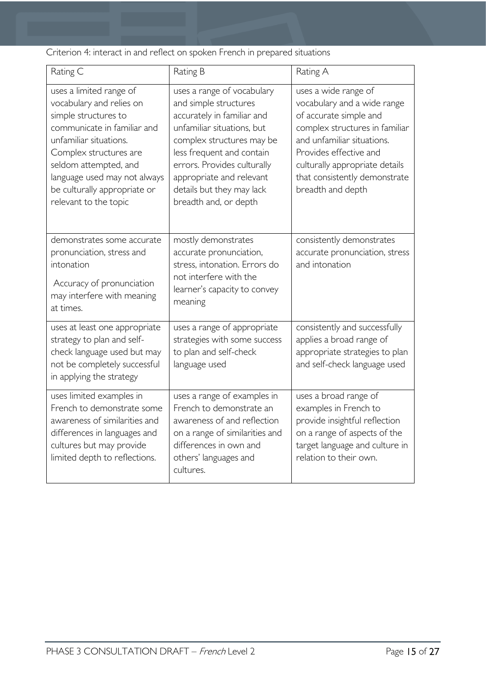Criterion 4: interact in and reflect on spoken French in prepared situations

| Rating C                                                                                                                                                                                                                                                                         | Rating B                                                                                                                                                                                                                                                                                   | Rating A                                                                                                                                                                                                                                                        |
|----------------------------------------------------------------------------------------------------------------------------------------------------------------------------------------------------------------------------------------------------------------------------------|--------------------------------------------------------------------------------------------------------------------------------------------------------------------------------------------------------------------------------------------------------------------------------------------|-----------------------------------------------------------------------------------------------------------------------------------------------------------------------------------------------------------------------------------------------------------------|
| uses a limited range of<br>vocabulary and relies on<br>simple structures to<br>communicate in familiar and<br>unfamiliar situations.<br>Complex structures are<br>seldom attempted, and<br>language used may not always<br>be culturally appropriate or<br>relevant to the topic | uses a range of vocabulary<br>and simple structures<br>accurately in familiar and<br>unfamiliar situations, but<br>complex structures may be<br>less frequent and contain<br>errors. Provides culturally<br>appropriate and relevant<br>details but they may lack<br>breadth and, or depth | uses a wide range of<br>vocabulary and a wide range<br>of accurate simple and<br>complex structures in familiar<br>and unfamiliar situations.<br>Provides effective and<br>culturally appropriate details<br>that consistently demonstrate<br>breadth and depth |
| demonstrates some accurate<br>pronunciation, stress and<br>intonation<br>Accuracy of pronunciation<br>may interfere with meaning<br>at times.                                                                                                                                    | mostly demonstrates<br>accurate pronunciation,<br>stress, intonation. Errors do<br>not interfere with the<br>learner's capacity to convey<br>meaning                                                                                                                                       | consistently demonstrates<br>accurate pronunciation, stress<br>and intonation                                                                                                                                                                                   |
| uses at least one appropriate<br>strategy to plan and self-<br>check language used but may<br>not be completely successful<br>in applying the strategy                                                                                                                           | uses a range of appropriate<br>strategies with some success<br>to plan and self-check<br>language used                                                                                                                                                                                     | consistently and successfully<br>applies a broad range of<br>appropriate strategies to plan<br>and self-check language used                                                                                                                                     |
| uses limited examples in<br>French to demonstrate some<br>awareness of similarities and<br>differences in languages and<br>cultures but may provide<br>limited depth to reflections.                                                                                             | uses a range of examples in<br>French to demonstrate an<br>awareness of and reflection<br>on a range of similarities and<br>differences in own and<br>others' languages and<br>cultures.                                                                                                   | uses a broad range of<br>examples in French to<br>provide insightful reflection<br>on a range of aspects of the<br>target language and culture in<br>relation to their own.                                                                                     |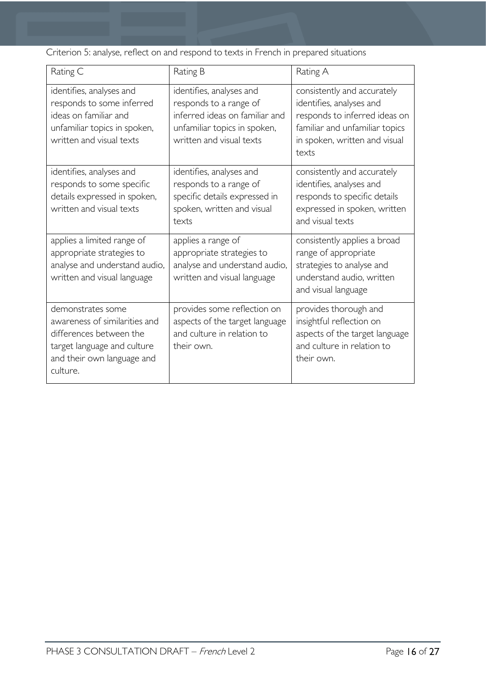Criterion 5: analyse, reflect on and respond to texts in French in prepared situations

| Rating C                                                                                                                                               | Rating B                                                                                                                                         | Rating A                                                                                                                                                             |
|--------------------------------------------------------------------------------------------------------------------------------------------------------|--------------------------------------------------------------------------------------------------------------------------------------------------|----------------------------------------------------------------------------------------------------------------------------------------------------------------------|
| identifies, analyses and<br>responds to some inferred<br>ideas on familiar and<br>unfamiliar topics in spoken,<br>written and visual texts             | identifies, analyses and<br>responds to a range of<br>inferred ideas on familiar and<br>unfamiliar topics in spoken,<br>written and visual texts | consistently and accurately<br>identifies, analyses and<br>responds to inferred ideas on<br>familiar and unfamiliar topics<br>in spoken, written and visual<br>texts |
| identifies, analyses and<br>responds to some specific<br>details expressed in spoken,<br>written and visual texts                                      | identifies, analyses and<br>responds to a range of<br>specific details expressed in<br>spoken, written and visual<br>texts                       | consistently and accurately<br>identifies, analyses and<br>responds to specific details<br>expressed in spoken, written<br>and visual texts                          |
| applies a limited range of<br>appropriate strategies to<br>analyse and understand audio,<br>written and visual language                                | applies a range of<br>appropriate strategies to<br>analyse and understand audio,<br>written and visual language                                  | consistently applies a broad<br>range of appropriate<br>strategies to analyse and<br>understand audio, written<br>and visual language                                |
| demonstrates some<br>awareness of similarities and<br>differences between the<br>target language and culture<br>and their own language and<br>culture. | provides some reflection on<br>aspects of the target language<br>and culture in relation to<br>their own.                                        | provides thorough and<br>insightful reflection on<br>aspects of the target language<br>and culture in relation to<br>their own.                                      |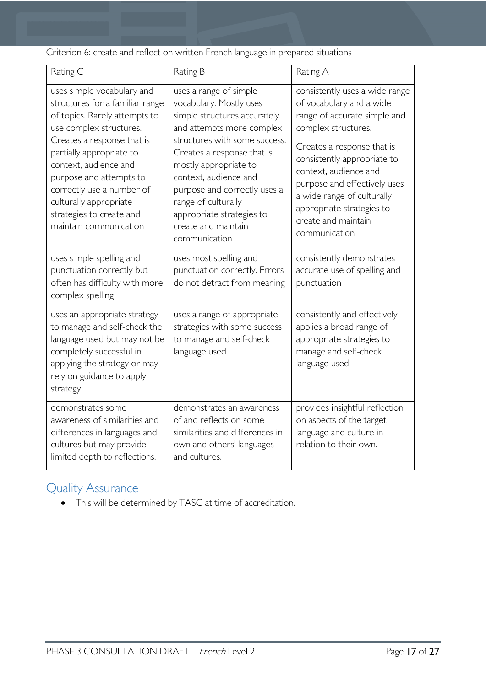Criterion 6: create and reflect on written French language in prepared situations

| Rating C                                                                                                                                                                                                                                                                                                                                             | Rating B                                                                                                                                                                                                                                                                                                                                                    | Rating A                                                                                                                                                                                                                                                                                                                                   |
|------------------------------------------------------------------------------------------------------------------------------------------------------------------------------------------------------------------------------------------------------------------------------------------------------------------------------------------------------|-------------------------------------------------------------------------------------------------------------------------------------------------------------------------------------------------------------------------------------------------------------------------------------------------------------------------------------------------------------|--------------------------------------------------------------------------------------------------------------------------------------------------------------------------------------------------------------------------------------------------------------------------------------------------------------------------------------------|
| uses simple vocabulary and<br>structures for a familiar range<br>of topics. Rarely attempts to<br>use complex structures.<br>Creates a response that is<br>partially appropriate to<br>context, audience and<br>purpose and attempts to<br>correctly use a number of<br>culturally appropriate<br>strategies to create and<br>maintain communication | uses a range of simple<br>vocabulary. Mostly uses<br>simple structures accurately<br>and attempts more complex<br>structures with some success.<br>Creates a response that is<br>mostly appropriate to<br>context, audience and<br>purpose and correctly uses a<br>range of culturally<br>appropriate strategies to<br>create and maintain<br>communication | consistently uses a wide range<br>of vocabulary and a wide<br>range of accurate simple and<br>complex structures.<br>Creates a response that is<br>consistently appropriate to<br>context, audience and<br>purpose and effectively uses<br>a wide range of culturally<br>appropriate strategies to<br>create and maintain<br>communication |
| uses simple spelling and<br>punctuation correctly but<br>often has difficulty with more<br>complex spelling                                                                                                                                                                                                                                          | uses most spelling and<br>punctuation correctly. Errors<br>do not detract from meaning                                                                                                                                                                                                                                                                      | consistently demonstrates<br>accurate use of spelling and<br>punctuation                                                                                                                                                                                                                                                                   |
| uses an appropriate strategy<br>to manage and self-check the<br>language used but may not be<br>completely successful in<br>applying the strategy or may<br>rely on guidance to apply<br>strategy                                                                                                                                                    | uses a range of appropriate<br>strategies with some success<br>to manage and self-check<br>language used                                                                                                                                                                                                                                                    | consistently and effectively<br>applies a broad range of<br>appropriate strategies to<br>manage and self-check<br>language used                                                                                                                                                                                                            |
| demonstrates some<br>awareness of similarities and<br>differences in languages and<br>cultures but may provide<br>limited depth to reflections.                                                                                                                                                                                                      | demonstrates an awareness<br>of and reflects on some<br>similarities and differences in<br>own and others' languages<br>and cultures.                                                                                                                                                                                                                       | provides insightful reflection<br>on aspects of the target<br>language and culture in<br>relation to their own.                                                                                                                                                                                                                            |

# <span id="page-16-0"></span>Quality Assurance

• This will be determined by TASC at time of accreditation.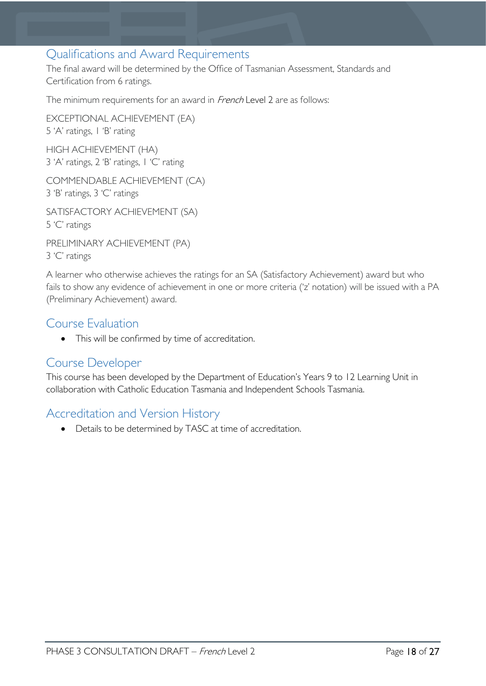### <span id="page-17-0"></span>Qualifications and Award Requirements

The final award will be determined by the Office of Tasmanian Assessment, Standards and Certification from 6 ratings.

The minimum requirements for an award in French Level 2 are as follows:

EXCEPTIONAL ACHIEVEMENT (EA) 5 'A' ratings, 1 'B' rating HIGH ACHIEVEMENT (HA) 3 'A' ratings, 2 'B' ratings, 1 'C' rating

COMMENDABLE ACHIEVEMENT (CA) 3 'B' ratings, 3 'C' ratings

SATISFACTORY ACHIEVEMENT (SA) 5 'C' ratings

PRELIMINARY ACHIEVEMENT (PA) 3 'C' ratings

A learner who otherwise achieves the ratings for an SA (Satisfactory Achievement) award but who fails to show any evidence of achievement in one or more criteria ('z' notation) will be issued with a PA (Preliminary Achievement) award.

### <span id="page-17-1"></span>Course Evaluation

• This will be confirmed by time of accreditation.

### <span id="page-17-2"></span>Course Developer

This course has been developed by the Department of Education's Years 9 to 12 Learning Unit in collaboration with Catholic Education Tasmania and Independent Schools Tasmania.

### <span id="page-17-3"></span>Accreditation and Version History

• Details to be determined by TASC at time of accreditation.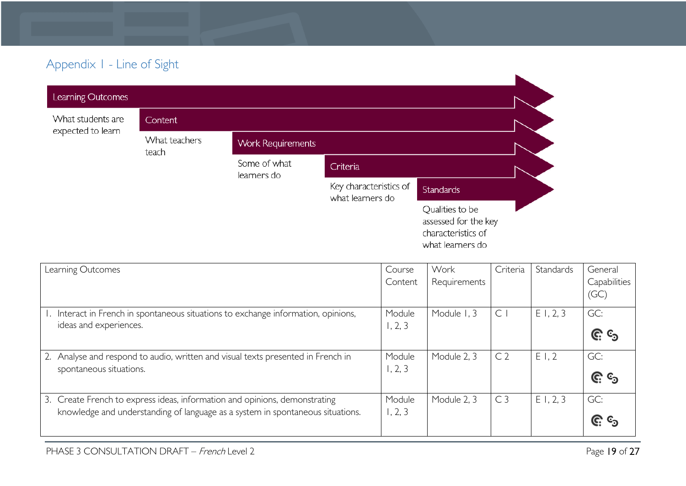# Appendix 1 - Line of Sight

| Learning Outcomes                      |                        |                             |                                            |                                                                                   |
|----------------------------------------|------------------------|-----------------------------|--------------------------------------------|-----------------------------------------------------------------------------------|
| What students are<br>expected to learn | Content                |                             |                                            |                                                                                   |
|                                        | What teachers<br>teach | <b>Work Requirements</b>    |                                            |                                                                                   |
|                                        |                        | Some of what<br>learners do | Criteria                                   |                                                                                   |
|                                        |                        |                             | Key characteristics of<br>what learners do | <b>Standards</b>                                                                  |
|                                        |                        |                             |                                            | Qualities to be<br>assessed for the key<br>characteristics of<br>what learners do |

<span id="page-18-0"></span>

| Learning Outcomes                                                                                                                                            | Course<br>Content | Work<br>Requirements | Criteria       | Standards | General<br>Capabilities<br>(GC) |
|--------------------------------------------------------------------------------------------------------------------------------------------------------------|-------------------|----------------------|----------------|-----------|---------------------------------|
| 1. Interact in French in spontaneous situations to exchange information, opinions,<br>ideas and experiences.                                                 | Module<br>1, 2, 3 | Module 1, 3          | C <sub>1</sub> | E1, 2, 3  | GC:<br><u>ල</u> ි ල             |
| Analyse and respond to audio, written and visual texts presented in French in<br>spontaneous situations.                                                     | Module<br>1, 2, 3 | Module 2, 3          | C <sub>2</sub> | E1,2      | GC:<br><u>ල</u> ි ල             |
| 3. Create French to express ideas, information and opinions, demonstrating<br>knowledge and understanding of language as a system in spontaneous situations. | Module<br>1, 2, 3 | Module 2, 3          | C <sub>3</sub> | E1, 2, 3  | GC:<br><u>ଙ୍ଗ</u> ୍ତ            |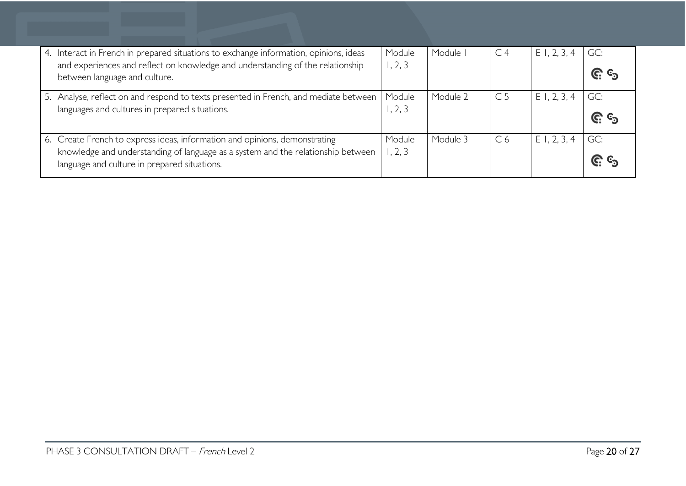| 4. | Interact in French in prepared situations to exchange information, opinions, ideas                              | Module  | Module   | C <sub>4</sub> | $E$ 1, 2, 3, 4 | GC:        |
|----|-----------------------------------------------------------------------------------------------------------------|---------|----------|----------------|----------------|------------|
|    | and experiences and reflect on knowledge and understanding of the relationship<br>between language and culture. | 1, 2, 3 |          |                |                | <u>၉</u> ေ |
|    |                                                                                                                 |         |          |                |                |            |
|    | 5. Analyse, reflect on and respond to texts presented in French, and mediate between                            | Module  | Module 2 | C <sub>5</sub> | E1, 2, 3, 4    | GC:        |
|    | languages and cultures in prepared situations.                                                                  | 1, 2, 3 |          |                |                | <u>၉</u> ေ |
|    |                                                                                                                 |         |          |                |                |            |
|    | 6. Create French to express ideas, information and opinions, demonstrating                                      | Module  | Module 3 | C <sub>6</sub> | $E$ 1, 2, 3, 4 | GC:        |
|    | knowledge and understanding of language as a system and the relationship between                                | , 2, 3  |          |                |                | <u>၉ ရ</u> |
|    | language and culture in prepared situations.                                                                    |         |          |                |                |            |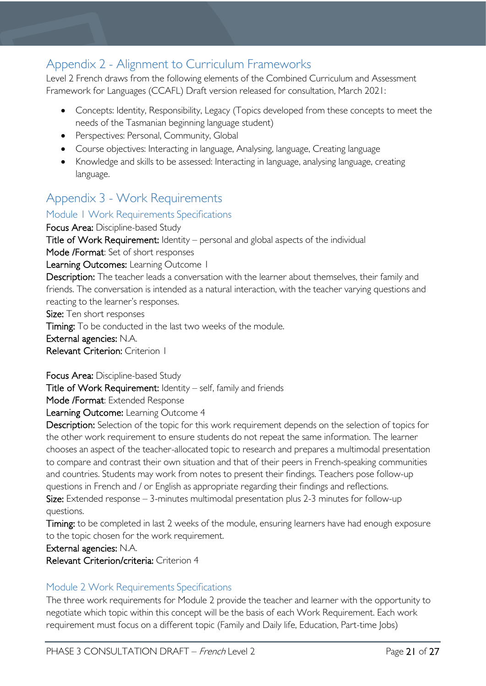# <span id="page-20-0"></span>Appendix 2 - Alignment to Curriculum Frameworks

Level 2 French draws from the following elements of the Combined Curriculum and Assessment Framework for Languages (CCAFL) Draft version released for consultation, March 2021:

- Concepts: Identity, Responsibility, Legacy (Topics developed from these concepts to meet the needs of the Tasmanian beginning language student)
- Perspectives: Personal, Community, Global
- Course objectives: Interacting in language, Analysing, language, Creating language
- Knowledge and skills to be assessed: Interacting in language, analysing language, creating language.

# <span id="page-20-1"></span>Appendix 3 - Work Requirements

### <span id="page-20-2"></span>Module 1 Work Requirements Specifications

Focus Area: Discipline-based Study Title of Work Requirement: Identity – personal and global aspects of the individual Mode /Format: Set of short responses Learning Outcomes: Learning Outcome 1 Description: The teacher leads a conversation with the learner about themselves, their family and friends. The conversation is intended as a natural interaction, with the teacher varying questions and reacting to the learner's responses. Size: Ten short responses

Timing: To be conducted in the last two weeks of the module. External agencies: N.A. Relevant Criterion: Criterion 1

Focus Area: Discipline-based Study

Title of Work Requirement: Identity – self, family and friends

Mode /Format: Extended Response

Learning Outcome: Learning Outcome 4

Description: Selection of the topic for this work requirement depends on the selection of topics for the other work requirement to ensure students do not repeat the same information. The learner chooses an aspect of the teacher-allocated topic to research and prepares a multimodal presentation to compare and contrast their own situation and that of their peers in French-speaking communities and countries. Students may work from notes to present their findings. Teachers pose follow-up questions in French and / or English as appropriate regarding their findings and reflections. Size: Extended response  $-3$ -minutes multimodal presentation plus 2-3 minutes for follow-up questions.

Timing: to be completed in last 2 weeks of the module, ensuring learners have had enough exposure to the topic chosen for the work requirement.

External agencies: N.A.

Relevant Criterion/criteria: Criterion 4

### <span id="page-20-3"></span>Module 2 Work Requirements Specifications

The three work requirements for Module 2 provide the teacher and learner with the opportunity to negotiate which topic within this concept will be the basis of each Work Requirement. Each work requirement must focus on a different topic (Family and Daily life, Education, Part-time Jobs)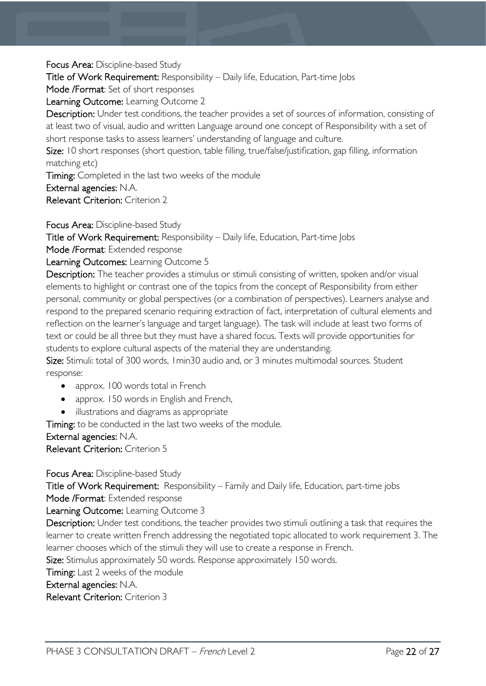Focus Area: Discipline-based Study

Title of Work Requirement: Responsibility – Daily life, Education, Part-time Jobs

Mode /Format: Set of short responses

Learning Outcome: Learning Outcome 2

Description: Under test conditions, the teacher provides a set of sources of information, consisting of at least two of visual, audio and written Language around one concept of Responsibility with a set of short response tasks to assess learners' understanding of language and culture.

Size: 10 short responses (short question, table filling, true/false/justification, gap filling, information matching etc)

Timing: Completed in the last two weeks of the module

External agencies: N.A.

Relevant Criterion: Criterion 2

Focus Area: Discipline-based Study

Title of Work Requirement: Responsibility – Daily life, Education, Part-time Jobs

Mode /Format: Extended response

Learning Outcomes: Learning Outcome 5

Description: The teacher provides a stimulus or stimuli consisting of written, spoken and/or visual elements to highlight or contrast one of the topics from the concept of Responsibility from either personal, community or global perspectives (or a combination of perspectives). Learners analyse and respond to the prepared scenario requiring extraction of fact, interpretation of cultural elements and reflection on the learner's language and target language). The task will include at least two forms of text or could be all three but they must have a shared focus. Texts will provide opportunities for students to explore cultural aspects of the material they are understanding.

Size: Stimuli: total of 300 words, 1min30 audio and, or 3 minutes multimodal sources. Student response:

- approx. 100 words total in French
- approx. 150 words in English and French,
- illustrations and diagrams as appropriate

Timing: to be conducted in the last two weeks of the module.

External agencies: N.A.

Relevant Criterion: Criterion 5

Focus Area: Discipline-based Study

Title of Work Requirement: Responsibility – Family and Daily life, Education, part-time jobs Mode /Format: Extended response

Learning Outcome: Learning Outcome 3

Description: Under test conditions, the teacher provides two stimuli outlining a task that requires the learner to create written French addressing the negotiated topic allocated to work requirement 3. The learner chooses which of the stimuli they will use to create a response in French.

Size: Stimulus approximately 50 words. Response approximately 150 words.

Timing: Last 2 weeks of the module

### External agencies: N.A.

Relevant Criterion: Criterion 3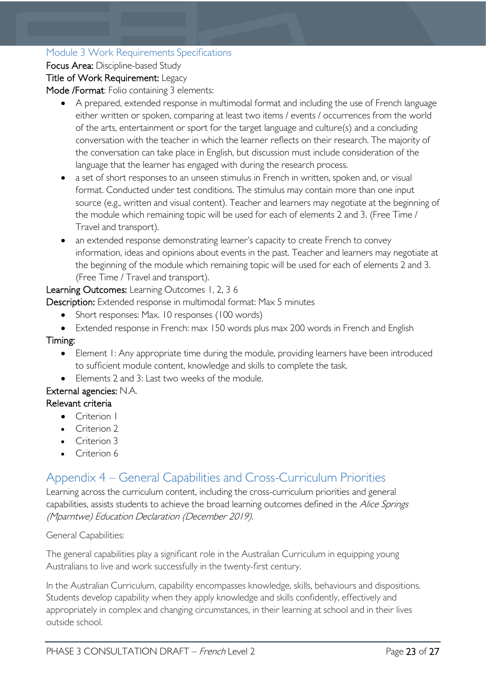### <span id="page-22-0"></span>Module 3 Work Requirements Specifications

Focus Area: Discipline-based Study

### Title of Work Requirement: Legacy

Mode /Format: Folio containing 3 elements:

- A prepared, extended response in multimodal format and including the use of French language either written or spoken, comparing at least two items / events / occurrences from the world of the arts, entertainment or sport for the target language and culture(s) and a concluding conversation with the teacher in which the learner reflects on their research. The majority of the conversation can take place in English, but discussion must include consideration of the language that the learner has engaged with during the research process.
- a set of short responses to an unseen stimulus in French in written, spoken and, or visual format. Conducted under test conditions. The stimulus may contain more than one input source (e.g., written and visual content). Teacher and learners may negotiate at the beginning of the module which remaining topic will be used for each of elements 2 and 3. (Free Time / Travel and transport).
- an extended response demonstrating learner's capacity to create French to convey information, ideas and opinions about events in the past. Teacher and learners may negotiate at the beginning of the module which remaining topic will be used for each of elements 2 and 3. (Free Time / Travel and transport).

### Learning Outcomes: Learning Outcomes 1, 2, 3 6

Description: Extended response in multimodal format: Max 5 minutes

- Short responses: Max. 10 responses (100 words)
- Extended response in French: max 150 words plus max 200 words in French and English

### Timing:

- Element I: Any appropriate time during the module, providing learners have been introduced to sufficient module content, knowledge and skills to complete the task.
- Elements 2 and 3: Last two weeks of the module.

### External agencies: N.A.

### Relevant criteria

- Criterion I
- Criterion 2
- Criterion 3
- Criterion 6

# <span id="page-22-1"></span>Appendix 4 – General Capabilities and Cross-Curriculum Priorities

Learning across the curriculum content, including the cross-curriculum priorities and general capabilities, assists students to achieve the broad learning outcomes defined in the Alice Springs (Mparntwe) Education Declaration (December 2019).

### General Capabilities:

The general capabilities play a significant role in the Australian Curriculum in equipping young Australians to live and work successfully in the twenty-first century.

In the Australian Curriculum, capability encompasses knowledge, skills, behaviours and dispositions. Students develop capability when they apply knowledge and skills confidently, effectively and appropriately in complex and changing circumstances, in their learning at school and in their lives outside school.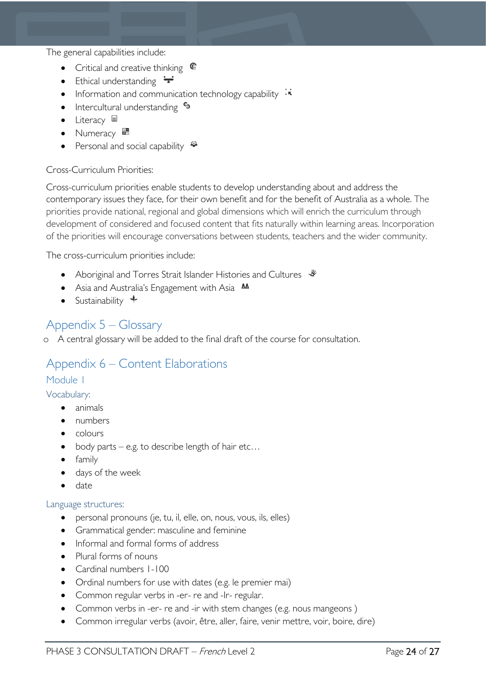The general capabilities include:

- Critical and creative thinking  $\mathbb{C}$
- Ethical understanding  $\div$
- Information and communication technology capability  $\cdot \cdot$
- Intercultural understanding  $\epsilon_3$
- Literacy  $\blacksquare$
- Numeracy
- Personal and social capability  $\ddot{\ddot{}}$

### Cross-Curriculum Priorities:

Cross-curriculum priorities enable students to develop understanding about and address the contemporary issues they face, for their own benefit and for the benefit of Australia as a whole. The priorities provide national, regional and global dimensions which will enrich the curriculum through development of considered and focused content that fits naturally within learning areas. Incorporation of the priorities will encourage conversations between students, teachers and the wider community.

The cross-curriculum priorities include:

- Aboriginal and Torres Strait Islander Histories and Cultures  $\mathcal$
- Asia and Australia's Engagement with Asia **AA**
- Sustainability  $\triangleleft$

### <span id="page-23-0"></span>Appendix 5 – Glossary

o A central glossary will be added to the final draft of the course for consultation.

### <span id="page-23-1"></span>Appendix 6 – Content Elaborations

### <span id="page-23-2"></span>Module 1

<span id="page-23-3"></span>Vocabulary:

- animals
- numbers
- colours
- body parts e.g. to describe length of hair etc...
- family
- days of the week
- date

### <span id="page-23-4"></span>Language structures:

- personal pronouns (je, tu, il, elle, on, nous, vous, ils, elles)
- Grammatical gender: masculine and feminine
- Informal and formal forms of address
- Plural forms of nouns
- Cardinal numbers 1-100
- Ordinal numbers for use with dates (e.g. le premier mai)
- Common regular verbs in -er- re and -lr- regular.
- Common verbs in -er- re and -ir with stem changes (e.g. nous mangeons)
- Common irregular verbs (avoir, être, aller, faire, venir mettre, voir, boire, dire)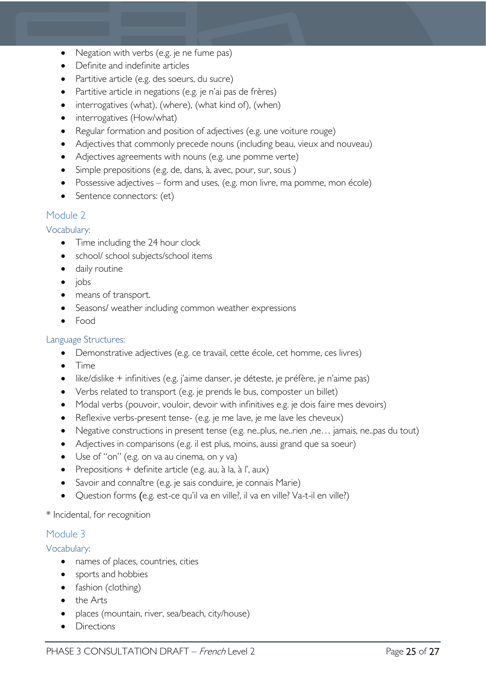- Negation with verbs (e.g. je ne fume pas)
- Definite and indefinite articles
- Partitive article (e.g. des soeurs, du sucre)
- Partitive article in negations (e.g. je n'ai pas de frères)
- interrogatives (what), (where), (what kind of), (when)
- interrogatives (How/what)
- Regular formation and position of adjectives (e.g. une voiture rouge)
- Adjectives that commonly precede nouns (including beau, vieux and nouveau)
- Adjectives agreements with nouns (e.g. une pomme verte)
- Simple prepositions (e.g. de, dans, à, avec, pour, sur, sous )
- Possessive adjectives form and uses, (e.g. mon livre, ma pomme, mon école)
- Sentence connectors: (et)

### <span id="page-24-0"></span>Module 2

### <span id="page-24-1"></span>Vocabulary:

- Time including the 24 hour clock
- school/ school subjects/school items
- daily routine
- jobs
- means of transport.
- Seasons/ weather including common weather expressions
- Food

### <span id="page-24-2"></span>Language Structures:

- Demonstrative adjectives (e.g. ce travail, cette école, cet homme, ces livres)
- Time
- like/dislike + infinitives (e.g. j'aime danser, je déteste, je préfère, je n'aime pas)
- Verbs related to transport (e.g. je prends le bus, composter un billet)
- Modal verbs (pouvoir, vouloir, devoir with infinitives e.g. je dois faire mes devoirs)
- Reflexive verbs-present tense- (e.g. je me lave, je me lave les cheveux)
- Negative constructions in present tense (e.g. ne..plus, ne..rien ,ne… jamais, ne..pas du tout)
- Adjectives in comparisons (e.g. il est plus, moins, aussi grand que sa soeur)
- Use of "on" (e.g. on va au cinema, on y va)
- Prepositions + definite article (e.g. au, à la, à l', aux)
- Savoir and connaître (e.g. je sais conduire, je connais Marie)
- Question forms (e.g. est-ce qu'il va en ville?, il va en ville? Va-t-il en ville?)

### \* Incidental, for recognition

### <span id="page-24-3"></span>Module 3

### <span id="page-24-4"></span>Vocabulary:

- names of places, countries, cities
- sports and hobbies
- fashion (clothing)
- the Arts
- places (mountain, river, sea/beach, city/house)
- **Directions**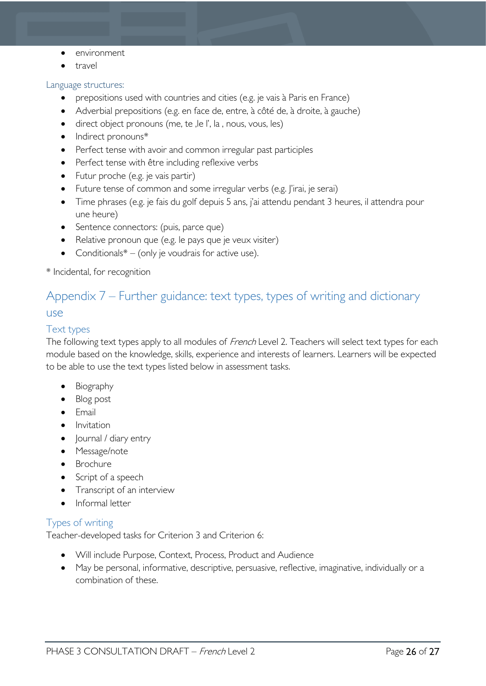- environment
- travel

### <span id="page-25-0"></span>Language structures:

- prepositions used with countries and cities (e.g. je vais à Paris en France)
- Adverbial prepositions (e.g. en face de, entre, à côté de, à droite, à gauche)
- direct object pronouns (me, te ,le l', la , nous, vous, les)
- Indirect pronouns\*
- Perfect tense with avoir and common irregular past participles
- Perfect tense with être including reflexive verbs
- Futur proche (e.g. je vais partir)
- Future tense of common and some irregular verbs (e.g. l'irai, je serai)
- Time phrases (e.g. je fais du golf depuis 5 ans, j'ai attendu pendant 3 heures, il attendra pour une heure)
- Sentence connectors: (puis, parce que)
- Relative pronoun que (e.g. le pays que je veux visiter)
- Conditionals $* -$  (only je voudrais for active use).

\* Incidental, for recognition

# <span id="page-25-1"></span>Appendix 7 – Further guidance: text types, types of writing and dictionary use

### <span id="page-25-2"></span>Text types

The following text types apply to all modules of French Level 2. Teachers will select text types for each module based on the knowledge, skills, experience and interests of learners. Learners will be expected to be able to use the text types listed below in assessment tasks.

- **Biography**
- Blog post
- Email
- Invitation
- Journal / diary entry
- Message/note
- Brochure
- Script of a speech
- Transcript of an interview
- Informal letter

### <span id="page-25-3"></span>Types of writing

Teacher-developed tasks for Criterion 3 and Criterion 6:

- Will include Purpose, Context, Process, Product and Audience
- May be personal, informative, descriptive, persuasive, reflective, imaginative, individually or a combination of these.